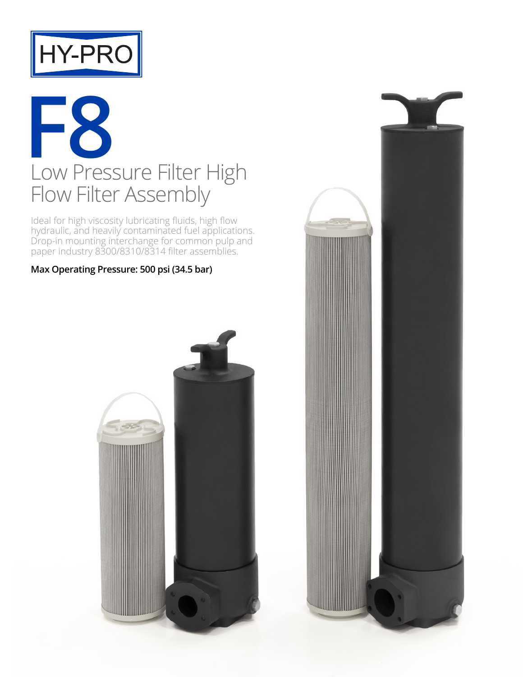

## **F8** Low Pressure Filter High Flow Filter Assembly

Ideal for high viscosity lubricating fluids, high flow hydraulic, and heavily contaminated fuel applications. Drop-in mounting interchange for common pulp and paper industry 8300/8310/8314 filter assemblies.

**Max Operating Pressure: 500 psi (34.5 bar)**



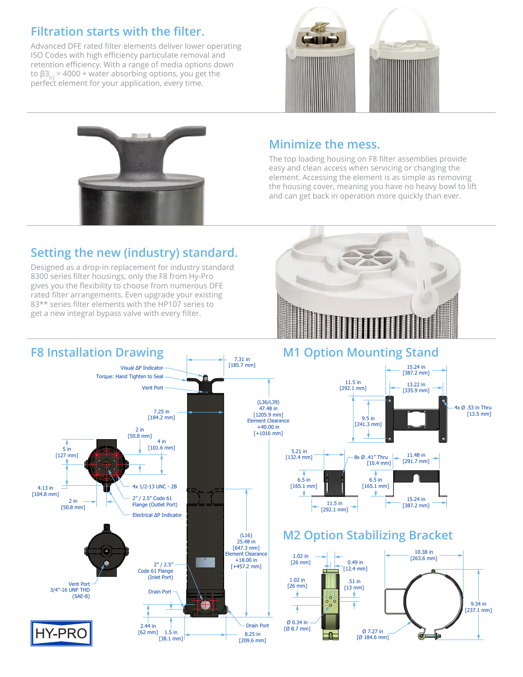### **Filtration starts with the filter.**

Advanced DFE rated filter elements deliver lower operating ISO Codes with high efficiency particulate removal and retention efficiency. With a range of media options down to  $\beta$ 3<sub>ca</sub> > 4000 + water absorbing options, you get the perfect element for your application, every time.





#### **Minimize the mess.**

The top loading housing on F8 filter assemblies provide easy and clean access when servicing or changing the element. Accessing the element is as simple as removing the housing cover, meaning you have no heavy bowl to lift and can get back in operation more quickly than ever.

### **Setting the new (industry) standard.**

Designed as a drop-in replacement for industry standard 8300 series filter housings, only the F8 from Hy-Pro gives you the flexibility to choose from numerous DFE rated filter arrangements. Even upgrade your existing 83\*\* series filter elements with the HP107 series to get a new integral bypass valve with every filter.



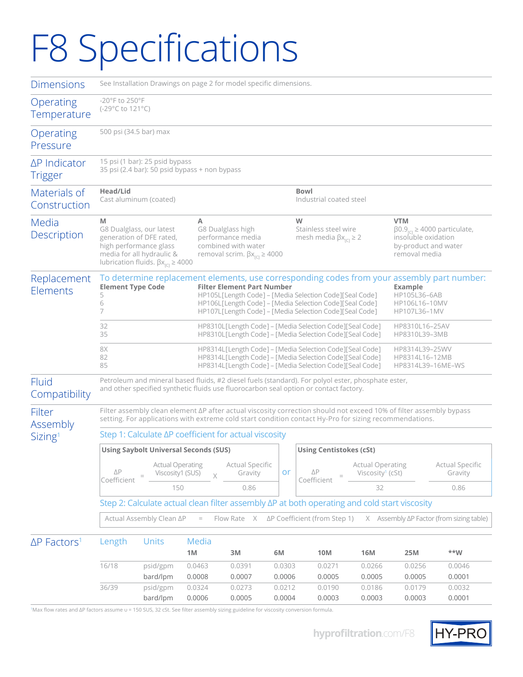# F8 Specifications

| <b>Dimensions</b>                         | See Installation Drawings on page 2 for model specific dimensions.                                                                                                                                                                   |                                                                                                                                                                    |                  |                                                                                                                                                                                                                                                                                                                  |                  |                                                                       |                                                         |                                                                                                                                 |                            |  |  |  |  |
|-------------------------------------------|--------------------------------------------------------------------------------------------------------------------------------------------------------------------------------------------------------------------------------------|--------------------------------------------------------------------------------------------------------------------------------------------------------------------|------------------|------------------------------------------------------------------------------------------------------------------------------------------------------------------------------------------------------------------------------------------------------------------------------------------------------------------|------------------|-----------------------------------------------------------------------|---------------------------------------------------------|---------------------------------------------------------------------------------------------------------------------------------|----------------------------|--|--|--|--|
| Operating<br>Temperature                  | $-20^\circ$ F to 250 $^\circ$ F<br>(-29°C to 121°C)                                                                                                                                                                                  |                                                                                                                                                                    |                  |                                                                                                                                                                                                                                                                                                                  |                  |                                                                       |                                                         |                                                                                                                                 |                            |  |  |  |  |
| Operating<br>Pressure                     | 500 psi (34.5 bar) max                                                                                                                                                                                                               |                                                                                                                                                                    |                  |                                                                                                                                                                                                                                                                                                                  |                  |                                                                       |                                                         |                                                                                                                                 |                            |  |  |  |  |
| ∆P Indicator<br><b>Trigger</b>            | 15 psi (1 bar): 25 psid bypass<br>35 psi (2.4 bar): 50 psid bypass + non bypass                                                                                                                                                      |                                                                                                                                                                    |                  |                                                                                                                                                                                                                                                                                                                  |                  |                                                                       |                                                         |                                                                                                                                 |                            |  |  |  |  |
| Materials of<br>Construction              | Head/Lid                                                                                                                                                                                                                             | Cast aluminum (coated)                                                                                                                                             |                  | <b>Bowl</b><br>Industrial coated steel                                                                                                                                                                                                                                                                           |                  |                                                                       |                                                         |                                                                                                                                 |                            |  |  |  |  |
| Media<br>Description                      | M                                                                                                                                                                                                                                    | G8 Dualglass, our latest<br>generation of DFE rated,<br>high performance glass<br>media for all hydraulic &<br>lubrication fluids. $\beta x_{\text{ref}} \ge 4000$ | Α                | G8 Dualglass high<br>performance media<br>combined with water<br>removal scrim. $\beta x_{\text{ref}} \ge 4000$                                                                                                                                                                                                  |                  | W<br>Stainless steel wire<br>mesh media $\beta x_{\text{ref}} \geq 2$ |                                                         | <b>VTM</b><br>$\beta$ 0.9 <sub>m</sub> $\geq$ 4000 particulate,<br>insoluble oxidation<br>by-product and water<br>removal media |                            |  |  |  |  |
| Replacement<br>Elements                   | <b>Element Type Code</b><br>5<br>6<br>7                                                                                                                                                                                              |                                                                                                                                                                    |                  | To determine replacement elements, use corresponding codes from your assembly part number:<br><b>Filter Element Part Number</b><br>HP105L[Length Code] - [Media Selection Code][Seal Code]<br>HP106L[Length Code] - [Media Selection Code][Seal Code]<br>HP107L[Length Code] - [Media Selection Code][Seal Code] |                  |                                                                       |                                                         | <b>Example</b><br>HP105L36-6AB<br>HP106L16-10MV<br>HP107L36-1MV                                                                 |                            |  |  |  |  |
|                                           | 32<br>35                                                                                                                                                                                                                             |                                                                                                                                                                    |                  | HP8310L[Length Code] - [Media Selection Code][Seal Code]<br>HP8310L16-25AV<br>HP8310L[Length Code] - [Media Selection Code][Seal Code]<br>HP8310L39-3MB                                                                                                                                                          |                  |                                                                       |                                                         |                                                                                                                                 |                            |  |  |  |  |
|                                           | 8X<br>82<br>85                                                                                                                                                                                                                       |                                                                                                                                                                    |                  | HP8314L[Length Code] – [Media Selection Code][Seal Code]<br>HP8314L39-25WV<br>HP8314L[Length Code] - [Media Selection Code][Seal Code]<br>HP8314L16-12MB<br>HP8314L[Length Code] - [Media Selection Code][Seal Code]<br>HP8314L39-16ME-WS                                                                        |                  |                                                                       |                                                         |                                                                                                                                 |                            |  |  |  |  |
| Fluid<br>Compatibility                    | Petroleum and mineral based fluids, #2 diesel fuels (standard). For polyol ester, phosphate ester,<br>and other specified synthetic fluids use fluorocarbon seal option or contact factory.                                          |                                                                                                                                                                    |                  |                                                                                                                                                                                                                                                                                                                  |                  |                                                                       |                                                         |                                                                                                                                 |                            |  |  |  |  |
| Filter<br>Assembly<br>Sizing <sup>1</sup> | Filter assembly clean element $\Delta P$ after actual viscosity correction should not exceed 10% of filter assembly bypass<br>setting. For applications with extreme cold start condition contact Hy-Pro for sizing recommendations. |                                                                                                                                                                    |                  |                                                                                                                                                                                                                                                                                                                  |                  |                                                                       |                                                         |                                                                                                                                 |                            |  |  |  |  |
|                                           |                                                                                                                                                                                                                                      | Step 1: Calculate ΔP coefficient for actual viscosity                                                                                                              |                  |                                                                                                                                                                                                                                                                                                                  |                  |                                                                       |                                                         |                                                                                                                                 |                            |  |  |  |  |
|                                           | <b>Using Saybolt Universal Seconds (SUS)</b><br><b>Using Centistokes (cSt)</b>                                                                                                                                                       |                                                                                                                                                                    |                  |                                                                                                                                                                                                                                                                                                                  |                  |                                                                       |                                                         |                                                                                                                                 |                            |  |  |  |  |
|                                           | $\Delta P$<br>Coefficient                                                                                                                                                                                                            | <b>Actual Operating</b><br>Viscosity1 (SUS)                                                                                                                        | $\times$         | <b>Actual Specific</b><br>or<br>Gravity                                                                                                                                                                                                                                                                          |                  | $\Delta P$<br>Coefficient                                             | <b>Actual Operating</b><br>Viscosity <sup>1</sup> (cSt) |                                                                                                                                 | Actual Specific<br>Gravity |  |  |  |  |
|                                           |                                                                                                                                                                                                                                      | 150                                                                                                                                                                |                  | 0.86                                                                                                                                                                                                                                                                                                             |                  |                                                                       | 32                                                      |                                                                                                                                 | 0.86                       |  |  |  |  |
|                                           | Step 2: Calculate actual clean filter assembly $\Delta P$ at both operating and cold start viscosity                                                                                                                                 |                                                                                                                                                                    |                  |                                                                                                                                                                                                                                                                                                                  |                  |                                                                       |                                                         |                                                                                                                                 |                            |  |  |  |  |
|                                           | Actual Assembly Clean ΔP<br>Flow Rate $X$ $\Delta P$ Coefficient (from Step 1)<br>$X$ Assembly $\Delta P$ Factor (from sizing table)<br>$\hspace{0.1in} = \hspace{0.1in}$                                                            |                                                                                                                                                                    |                  |                                                                                                                                                                                                                                                                                                                  |                  |                                                                       |                                                         |                                                                                                                                 |                            |  |  |  |  |
| $\Delta P$ Factors <sup>1</sup>           | Length                                                                                                                                                                                                                               | <b>Units</b>                                                                                                                                                       | Media            |                                                                                                                                                                                                                                                                                                                  |                  |                                                                       |                                                         |                                                                                                                                 | $***W$                     |  |  |  |  |
|                                           | 16/18                                                                                                                                                                                                                                |                                                                                                                                                                    | $1M$             | 3M                                                                                                                                                                                                                                                                                                               | 6M               | 10M                                                                   | <b>16M</b><br>0.0266                                    | 25M                                                                                                                             |                            |  |  |  |  |
|                                           |                                                                                                                                                                                                                                      | psid/gpm<br>bard/lpm                                                                                                                                               | 0.0463<br>0.0008 | 0.0391<br>0.0007                                                                                                                                                                                                                                                                                                 | 0.0303<br>0.0006 | 0.0271<br>0.0005                                                      | 0.0005                                                  | 0.0256<br>0.0005                                                                                                                | 0.0046<br>0.0001           |  |  |  |  |
|                                           | 36/39                                                                                                                                                                                                                                | psid/gpm                                                                                                                                                           | 0.0324           | 0.0273                                                                                                                                                                                                                                                                                                           | 0.0212           | 0.0190                                                                | 0.0186                                                  | 0.0179                                                                                                                          | 0.0032                     |  |  |  |  |
|                                           |                                                                                                                                                                                                                                      | bard/lpm                                                                                                                                                           | 0.0006           | 0.0005                                                                                                                                                                                                                                                                                                           | 0.0004           | 0.0003                                                                | 0.0003                                                  | 0.0003                                                                                                                          | 0.0001                     |  |  |  |  |

1Max flow rates and ΔP factors assume υ = 150 SUS, 32 cSt. See filter assembly sizing guideline for viscosity conversion formula.